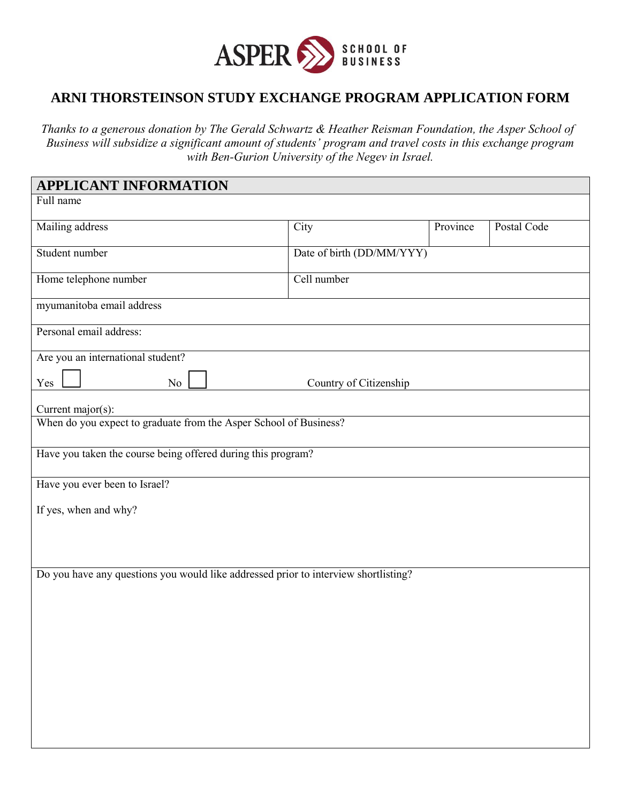

## **ARNI THORSTEINSON STUDY EXCHANGE PROGRAM APPLICATION FORM**

*Thanks to a generous donation by The Gerald Schwartz & Heather Reisman Foundation, the Asper School of Business will subsidize a significant amount of students' program and travel costs in this exchange program with Ben-Gurion University of the Negev in Israel.* 

| <b>APPLICANT INFORMATION</b>                                                        |                           |          |             |
|-------------------------------------------------------------------------------------|---------------------------|----------|-------------|
| Full name                                                                           |                           |          |             |
| Mailing address                                                                     | City                      | Province | Postal Code |
| Student number                                                                      | Date of birth (DD/MM/YYY) |          |             |
| Home telephone number                                                               | Cell number               |          |             |
| myumanitoba email address                                                           |                           |          |             |
| Personal email address:                                                             |                           |          |             |
| Are you an international student?                                                   |                           |          |             |
| Yes<br>No                                                                           | Country of Citizenship    |          |             |
| Current major(s):                                                                   |                           |          |             |
| When do you expect to graduate from the Asper School of Business?                   |                           |          |             |
| Have you taken the course being offered during this program?                        |                           |          |             |
| Have you ever been to Israel?                                                       |                           |          |             |
| If yes, when and why?                                                               |                           |          |             |
|                                                                                     |                           |          |             |
|                                                                                     |                           |          |             |
| Do you have any questions you would like addressed prior to interview shortlisting? |                           |          |             |
|                                                                                     |                           |          |             |
|                                                                                     |                           |          |             |
|                                                                                     |                           |          |             |
|                                                                                     |                           |          |             |
|                                                                                     |                           |          |             |
|                                                                                     |                           |          |             |
|                                                                                     |                           |          |             |